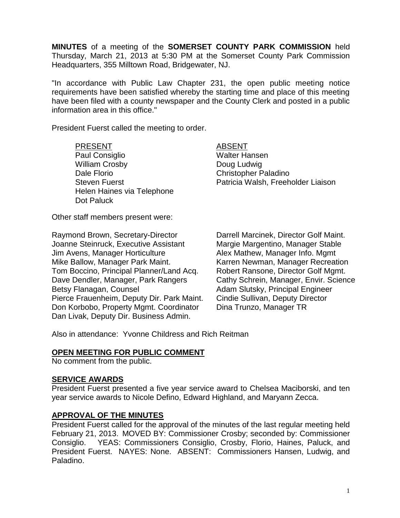**MINUTES** of a meeting of the **SOMERSET COUNTY PARK COMMISSION** held Thursday, March 21, 2013 at 5:30 PM at the Somerset County Park Commission Headquarters, 355 Milltown Road, Bridgewater, NJ.

"In accordance with Public Law Chapter 231, the open public meeting notice requirements have been satisfied whereby the starting time and place of this meeting have been filed with a county newspaper and the County Clerk and posted in a public information area in this office."

President Fuerst called the meeting to order.

PRESENT ABSENT Paul Consiglio New York Walter Hansen William Crosby **Doug Ludwig** Dale Florio Christopher Paladino Helen Haines via Telephone Dot Paluck

Steven Fuerst **Patricia Walsh, Freeholder Liaison** 

Other staff members present were:

Raymond Brown, Secretary-Director Darrell Marcinek, Director Golf Maint. Joanne Steinruck, Executive Assistant Margie Margentino, Manager Stable Jim Avens, Manager Horticulture **Alex Mathew, Manager Info. Mgmt** Mike Ballow, Manager Park Maint. Karren Newman, Manager Recreation Tom Boccino, Principal Planner/Land Acq. Robert Ransone, Director Golf Mgmt. Dave Dendler, Manager, Park Rangers Cathy Schrein, Manager, Envir. Science Betsy Flanagan, Counsel **Adam Slutsky**, Principal Engineer Pierce Frauenheim, Deputy Dir. Park Maint. Cindie Sullivan, Deputy Director Don Korbobo, Property Mgmt. Coordinator Dina Trunzo, Manager TR Dan Livak, Deputy Dir. Business Admin.

Also in attendance: Yvonne Childress and Rich Reitman

## **OPEN MEETING FOR PUBLIC COMMENT**

No comment from the public.

## **SERVICE AWARDS**

President Fuerst presented a five year service award to Chelsea Maciborski, and ten year service awards to Nicole Defino, Edward Highland, and Maryann Zecca.

# **APPROVAL OF THE MINUTES**

President Fuerst called for the approval of the minutes of the last regular meeting held February 21, 2013. MOVED BY: Commissioner Crosby; seconded by: Commissioner Consiglio. YEAS: Commissioners Consiglio, Crosby, Florio, Haines, Paluck, and President Fuerst. NAYES: None. ABSENT: Commissioners Hansen, Ludwig, and Paladino.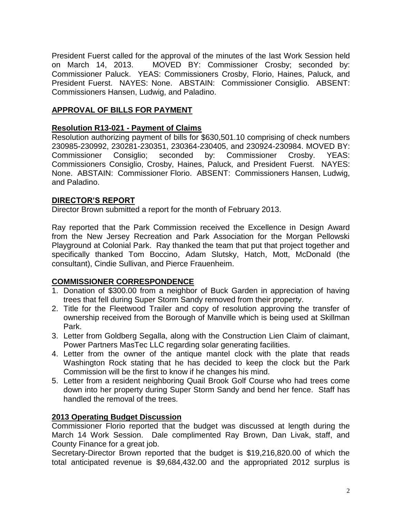President Fuerst called for the approval of the minutes of the last Work Session held on March 14, 2013. MOVED BY: Commissioner Crosby; seconded by: Commissioner Paluck. YEAS: Commissioners Crosby, Florio, Haines, Paluck, and President Fuerst. NAYES: None. ABSTAIN: Commissioner Consiglio. ABSENT: Commissioners Hansen, Ludwig, and Paladino.

# **APPROVAL OF BILLS FOR PAYMENT**

## **Resolution R13-021 - Payment of Claims**

Resolution authorizing payment of bills for \$630,501.10 comprising of check numbers 230985-230992, 230281-230351, 230364-230405, and 230924-230984. MOVED BY: Commissioner Consiglio; seconded by: Commissioner Crosby. YEAS: Commissioners Consiglio, Crosby, Haines, Paluck, and President Fuerst. NAYES: None. ABSTAIN: Commissioner Florio. ABSENT: Commissioners Hansen, Ludwig, and Paladino.

## **DIRECTOR'S REPORT**

Director Brown submitted a report for the month of February 2013.

Ray reported that the Park Commission received the Excellence in Design Award from the New Jersey Recreation and Park Association for the Morgan Pellowski Playground at Colonial Park. Ray thanked the team that put that project together and specifically thanked Tom Boccino, Adam Slutsky, Hatch, Mott, McDonald (the consultant), Cindie Sullivan, and Pierce Frauenheim.

## **COMMISSIONER CORRESPONDENCE**

- 1. Donation of \$300.00 from a neighbor of Buck Garden in appreciation of having trees that fell during Super Storm Sandy removed from their property.
- 2. Title for the Fleetwood Trailer and copy of resolution approving the transfer of ownership received from the Borough of Manville which is being used at Skillman Park.
- 3. Letter from Goldberg Segalla, along with the Construction Lien Claim of claimant, Power Partners MasTec LLC regarding solar generating facilities.
- 4. Letter from the owner of the antique mantel clock with the plate that reads Washington Rock stating that he has decided to keep the clock but the Park Commission will be the first to know if he changes his mind.
- 5. Letter from a resident neighboring Quail Brook Golf Course who had trees come down into her property during Super Storm Sandy and bend her fence. Staff has handled the removal of the trees.

# **2013 Operating Budget Discussion**

Commissioner Florio reported that the budget was discussed at length during the March 14 Work Session. Dale complimented Ray Brown, Dan Livak, staff, and County Finance for a great job.

Secretary-Director Brown reported that the budget is \$19,216,820.00 of which the total anticipated revenue is \$9,684,432.00 and the appropriated 2012 surplus is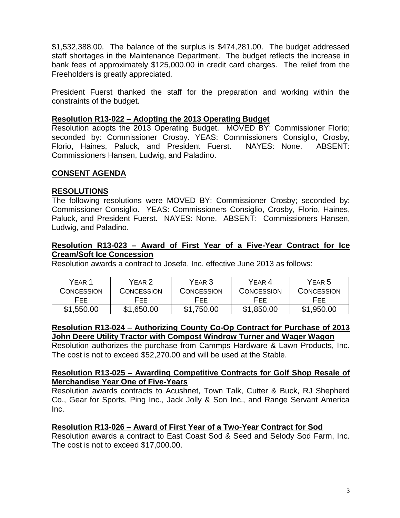\$1,532,388.00. The balance of the surplus is \$474,281.00. The budget addressed staff shortages in the Maintenance Department. The budget reflects the increase in bank fees of approximately \$125,000.00 in credit card charges. The relief from the Freeholders is greatly appreciated.

President Fuerst thanked the staff for the preparation and working within the constraints of the budget.

## **Resolution R13-022 – Adopting the 2013 Operating Budget**

Resolution adopts the 2013 Operating Budget. MOVED BY: Commissioner Florio; seconded by: Commissioner Crosby. YEAS: Commissioners Consiglio, Crosby, Florio, Haines, Paluck, and President Fuerst. NAYES: None. ABSENT: Commissioners Hansen, Ludwig, and Paladino.

## **CONSENT AGENDA**

# **RESOLUTIONS**

The following resolutions were MOVED BY: Commissioner Crosby; seconded by: Commissioner Consiglio. YEAS: Commissioners Consiglio, Crosby, Florio, Haines, Paluck, and President Fuerst. NAYES: None. ABSENT: Commissioners Hansen, Ludwig, and Paladino.

## **Resolution R13-023 – Award of First Year of a Five-Year Contract for Ice Cream/Soft Ice Concession**

Resolution awards a contract to Josefa, Inc. effective June 2013 as follows:

| YFAR <sub>1</sub> | YFAR 2     | YEAR 3     | YFAR 4     | YEAR 5     |
|-------------------|------------|------------|------------|------------|
| CONCESSION        | CONCESSION | CONCESSION | CONCESSION | CONCESSION |
| FFF.              | HEE.       | HFF.       | HFF.       | <b>HEE</b> |
| \$1,550.00        | \$1,650.00 | \$1,750.00 | \$1,850.00 | \$1,950.00 |

## **Resolution R13-024 – Authorizing County Co-Op Contract for Purchase of 2013 John Deere Utility Tractor with Compost Windrow Turner and Wager Wagon**

Resolution authorizes the purchase from Cammps Hardware & Lawn Products, Inc. The cost is not to exceed \$52,270.00 and will be used at the Stable.

#### **Resolution R13-025 – Awarding Competitive Contracts for Golf Shop Resale of Merchandise Year One of Five-Years**

Resolution awards contracts to Acushnet, Town Talk, Cutter & Buck, RJ Shepherd Co., Gear for Sports, Ping Inc., Jack Jolly & Son Inc., and Range Servant America Inc.

## **Resolution R13-026 – Award of First Year of a Two-Year Contract for Sod**

Resolution awards a contract to East Coast Sod & Seed and Selody Sod Farm, Inc. The cost is not to exceed \$17,000.00.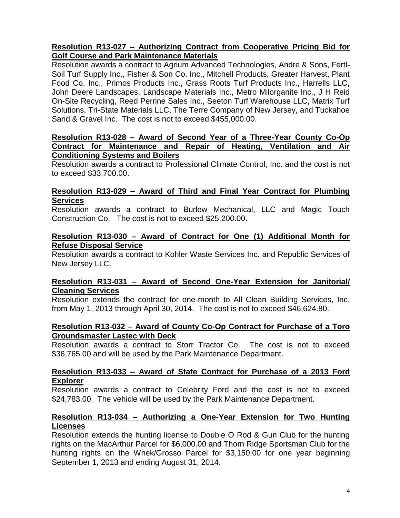# **Resolution R13-027 – Authorizing Contract from Cooperative Pricing Bid for Golf Course and Park Maintenance Materials**

Resolution awards a contract to Agrium Advanced Technologies, Andre & Sons, Fertl-Soil Turf Supply Inc., Fisher & Son Co. Inc., Mitchell Products, Greater Harvest, Plant Food Co. Inc., Primos Products Inc., Grass Roots Turf Products Inc., Harrells LLC, John Deere Landscapes, Landscape Materials Inc., Metro Milorganite Inc., J H Reid On-Site Recycling, Reed Perrine Sales Inc., Seeton Turf Warehouse LLC, Matrix Turf Solutions, Tri-State Materials LLC, The Terre Company of New Jersey, and Tuckahoe Sand & Gravel Inc. The cost is not to exceed \$455,000.00.

#### **Resolution R13-028 – Award of Second Year of a Three-Year County Co-Op Contract for Maintenance and Repair of Heating, Ventilation and Air Conditioning Systems and Boilers**

Resolution awards a contract to Professional Climate Control, Inc. and the cost is not to exceed \$33,700.00.

## **Resolution R13-029 – Award of Third and Final Year Contract for Plumbing Services**

Resolution awards a contract to Burlew Mechanical, LLC and Magic Touch Construction Co. The cost is not to exceed \$25,200.00.

## **Resolution R13-030 – Award of Contract for One (1) Additional Month for Refuse Disposal Service**

Resolution awards a contract to Kohler Waste Services Inc. and Republic Services of New Jersey LLC.

# **Resolution R13-031 – Award of Second One-Year Extension for Janitorial/ Cleaning Services**

Resolution extends the contract for one-month to All Clean Building Services, Inc. from May 1, 2013 through April 30, 2014. The cost is not to exceed \$46,624.80.

## **Resolution R13-032 – Award of County Co-Op Contract for Purchase of a Toro Groundsmaster Lastec with Deck**

Resolution awards a contract to Storr Tractor Co. The cost is not to exceed \$36,765.00 and will be used by the Park Maintenance Department.

## **Resolution R13-033 – Award of State Contract for Purchase of a 2013 Ford Explorer**

Resolution awards a contract to Celebrity Ford and the cost is not to exceed \$24,783.00. The vehicle will be used by the Park Maintenance Department.

## **Resolution R13-034 – Authorizing a One-Year Extension for Two Hunting Licenses**

Resolution extends the hunting license to Double O Rod & Gun Club for the hunting rights on the MacArthur Parcel for \$6,000.00 and Thorn Ridge Sportsman Club for the hunting rights on the Wnek/Grosso Parcel for \$3,150.00 for one year beginning September 1, 2013 and ending August 31, 2014.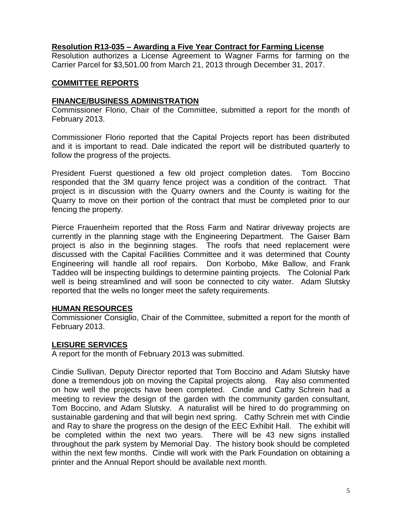#### **Resolution R13-035 – Awarding a Five Year Contract for Farming License**

Resolution authorizes a License Agreement to Wagner Farms for farming on the Carrier Parcel for \$3,501.00 from March 21, 2013 through December 31, 2017.

#### **COMMITTEE REPORTS**

#### **FINANCE/BUSINESS ADMINISTRATION**

Commissioner Florio, Chair of the Committee, submitted a report for the month of February 2013.

Commissioner Florio reported that the Capital Projects report has been distributed and it is important to read. Dale indicated the report will be distributed quarterly to follow the progress of the projects.

President Fuerst questioned a few old project completion dates. Tom Boccino responded that the 3M quarry fence project was a condition of the contract. That project is in discussion with the Quarry owners and the County is waiting for the Quarry to move on their portion of the contract that must be completed prior to our fencing the property.

Pierce Frauenheim reported that the Ross Farm and Natirar driveway projects are currently in the planning stage with the Engineering Department. The Gaiser Barn project is also in the beginning stages. The roofs that need replacement were discussed with the Capital Facilities Committee and it was determined that County Engineering will handle all roof repairs. Don Korbobo, Mike Ballow, and Frank Taddeo will be inspecting buildings to determine painting projects. The Colonial Park well is being streamlined and will soon be connected to city water. Adam Slutsky reported that the wells no longer meet the safety requirements.

#### **HUMAN RESOURCES**

Commissioner Consiglio, Chair of the Committee, submitted a report for the month of February 2013.

#### **LEISURE SERVICES**

A report for the month of February 2013 was submitted.

Cindie Sullivan, Deputy Director reported that Tom Boccino and Adam Slutsky have done a tremendous job on moving the Capital projects along. Ray also commented on how well the projects have been completed. Cindie and Cathy Schrein had a meeting to review the design of the garden with the community garden consultant, Tom Boccino, and Adam Slutsky. A naturalist will be hired to do programming on sustainable gardening and that will begin next spring. Cathy Schrein met with Cindie and Ray to share the progress on the design of the EEC Exhibit Hall. The exhibit will be completed within the next two years. There will be 43 new signs installed throughout the park system by Memorial Day. The history book should be completed within the next few months. Cindie will work with the Park Foundation on obtaining a printer and the Annual Report should be available next month.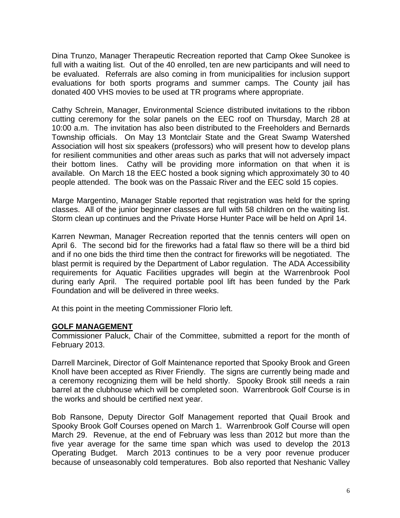Dina Trunzo, Manager Therapeutic Recreation reported that Camp Okee Sunokee is full with a waiting list. Out of the 40 enrolled, ten are new participants and will need to be evaluated. Referrals are also coming in from municipalities for inclusion support evaluations for both sports programs and summer camps. The County jail has donated 400 VHS movies to be used at TR programs where appropriate.

Cathy Schrein, Manager, Environmental Science distributed invitations to the ribbon cutting ceremony for the solar panels on the EEC roof on Thursday, March 28 at 10:00 a.m. The invitation has also been distributed to the Freeholders and Bernards Township officials. On May 13 Montclair State and the Great Swamp Watershed Association will host six speakers (professors) who will present how to develop plans for resilient communities and other areas such as parks that will not adversely impact their bottom lines. Cathy will be providing more information on that when it is available. On March 18 the EEC hosted a book signing which approximately 30 to 40 people attended. The book was on the Passaic River and the EEC sold 15 copies.

Marge Margentino, Manager Stable reported that registration was held for the spring classes. All of the junior beginner classes are full with 58 children on the waiting list. Storm clean up continues and the Private Horse Hunter Pace will be held on April 14.

Karren Newman, Manager Recreation reported that the tennis centers will open on April 6. The second bid for the fireworks had a fatal flaw so there will be a third bid and if no one bids the third time then the contract for fireworks will be negotiated. The blast permit is required by the Department of Labor regulation. The ADA Accessibility requirements for Aquatic Facilities upgrades will begin at the Warrenbrook Pool during early April. The required portable pool lift has been funded by the Park Foundation and will be delivered in three weeks.

At this point in the meeting Commissioner Florio left.

## **GOLF MANAGEMENT**

Commissioner Paluck, Chair of the Committee, submitted a report for the month of February 2013.

Darrell Marcinek, Director of Golf Maintenance reported that Spooky Brook and Green Knoll have been accepted as River Friendly. The signs are currently being made and a ceremony recognizing them will be held shortly. Spooky Brook still needs a rain barrel at the clubhouse which will be completed soon. Warrenbrook Golf Course is in the works and should be certified next year.

Bob Ransone, Deputy Director Golf Management reported that Quail Brook and Spooky Brook Golf Courses opened on March 1. Warrenbrook Golf Course will open March 29. Revenue, at the end of February was less than 2012 but more than the five year average for the same time span which was used to develop the 2013 Operating Budget. March 2013 continues to be a very poor revenue producer because of unseasonably cold temperatures. Bob also reported that Neshanic Valley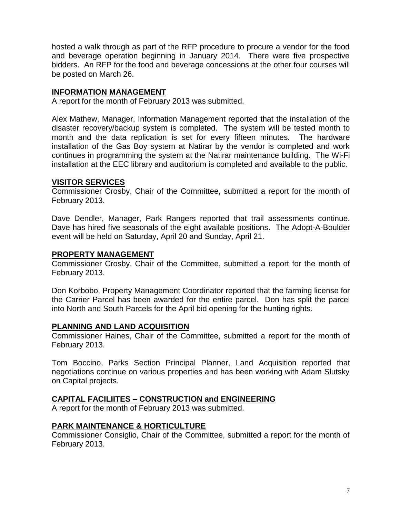hosted a walk through as part of the RFP procedure to procure a vendor for the food and beverage operation beginning in January 2014. There were five prospective bidders. An RFP for the food and beverage concessions at the other four courses will be posted on March 26.

## **INFORMATION MANAGEMENT**

A report for the month of February 2013 was submitted.

Alex Mathew, Manager, Information Management reported that the installation of the disaster recovery/backup system is completed. The system will be tested month to month and the data replication is set for every fifteen minutes. The hardware installation of the Gas Boy system at Natirar by the vendor is completed and work continues in programming the system at the Natirar maintenance building. The Wi-Fi installation at the EEC library and auditorium is completed and available to the public.

## **VISITOR SERVICES**

Commissioner Crosby, Chair of the Committee, submitted a report for the month of February 2013.

Dave Dendler, Manager, Park Rangers reported that trail assessments continue. Dave has hired five seasonals of the eight available positions. The Adopt-A-Boulder event will be held on Saturday, April 20 and Sunday, April 21.

## **PROPERTY MANAGEMENT**

Commissioner Crosby, Chair of the Committee, submitted a report for the month of February 2013.

Don Korbobo, Property Management Coordinator reported that the farming license for the Carrier Parcel has been awarded for the entire parcel. Don has split the parcel into North and South Parcels for the April bid opening for the hunting rights.

## **PLANNING AND LAND ACQUISITION**

Commissioner Haines, Chair of the Committee, submitted a report for the month of February 2013.

Tom Boccino, Parks Section Principal Planner, Land Acquisition reported that negotiations continue on various properties and has been working with Adam Slutsky on Capital projects.

# **CAPITAL FACILIITES – CONSTRUCTION and ENGINEERING**

A report for the month of February 2013 was submitted.

## **PARK MAINTENANCE & HORTICULTURE**

Commissioner Consiglio, Chair of the Committee, submitted a report for the month of February 2013.